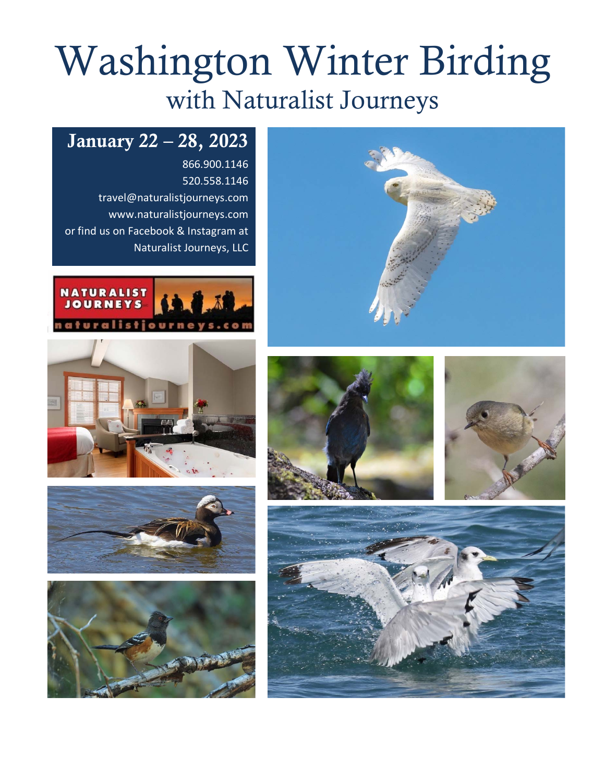# Washington Winter Birding with Naturalist Journeys

# January 22 – 28, 2023

866.900.1146 520.558.1146 travel@naturalistjourneys.com www.naturalistjourneys.com or find us on Facebook & Instagram at Naturalist Journeys, LLC















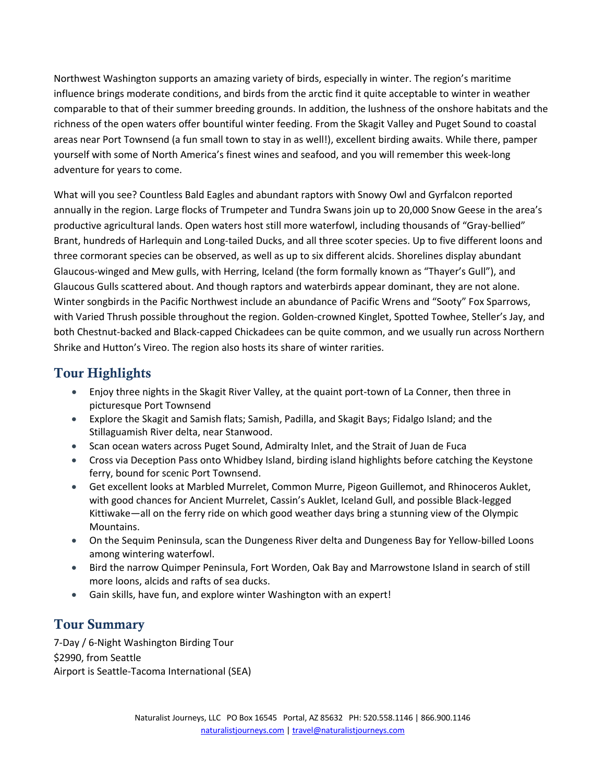Northwest Washington supports an amazing variety of birds, especially in winter. The region's maritime influence brings moderate conditions, and birds from the arctic find it quite acceptable to winter in weather comparable to that of their summer breeding grounds. In addition, the lushness of the onshore habitats and the richness of the open waters offer bountiful winter feeding. From the Skagit Valley and Puget Sound to coastal areas near Port Townsend (a fun small town to stay in as well!), excellent birding awaits. While there, pamper yourself with some of North America's finest wines and seafood, and you will remember this week-long adventure for years to come.

What will you see? Countless Bald Eagles and abundant raptors with Snowy Owl and Gyrfalcon reported annually in the region. Large flocks of Trumpeter and Tundra Swans join up to 20,000 Snow Geese in the area's productive agricultural lands. Open waters host still more waterfowl, including thousands of "Gray-bellied" Brant, hundreds of Harlequin and Long-tailed Ducks, and all three scoter species. Up to five different loons and three cormorant species can be observed, as well as up to six different alcids. Shorelines display abundant Glaucous-winged and Mew gulls, with Herring, Iceland (the form formally known as "Thayer's Gull"), and Glaucous Gulls scattered about. And though raptors and waterbirds appear dominant, they are not alone. Winter songbirds in the Pacific Northwest include an abundance of Pacific Wrens and "Sooty" Fox Sparrows, with Varied Thrush possible throughout the region. Golden-crowned Kinglet, Spotted Towhee, Steller's Jay, and both Chestnut-backed and Black-capped Chickadees can be quite common, and we usually run across Northern Shrike and Hutton's Vireo. The region also hosts its share of winter rarities.

#### Tour Highlights

- Enjoy three nights in the Skagit River Valley, at the quaint port-town of La Conner, then three in picturesque Port Townsend
- Explore the Skagit and Samish flats; Samish, Padilla, and Skagit Bays; Fidalgo Island; and the Stillaguamish River delta, near Stanwood.
- Scan ocean waters across Puget Sound, Admiralty Inlet, and the Strait of Juan de Fuca
- Cross via Deception Pass onto Whidbey Island, birding island highlights before catching the Keystone ferry, bound for scenic Port Townsend.
- Get excellent looks at Marbled Murrelet, Common Murre, Pigeon Guillemot, and Rhinoceros Auklet, with good chances for Ancient Murrelet, Cassin's Auklet, Iceland Gull, and possible Black-legged Kittiwake—all on the ferry ride on which good weather days bring a stunning view of the Olympic Mountains.
- On the Sequim Peninsula, scan the Dungeness River delta and Dungeness Bay for Yellow-billed Loons among wintering waterfowl.
- Bird the narrow Quimper Peninsula, Fort Worden, Oak Bay and Marrowstone Island in search of still more loons, alcids and rafts of sea ducks.
- Gain skills, have fun, and explore winter Washington with an expert!

#### Tour Summary

7-Day / 6-Night Washington Birding Tour \$2990, from Seattle Airport is Seattle-Tacoma International (SEA)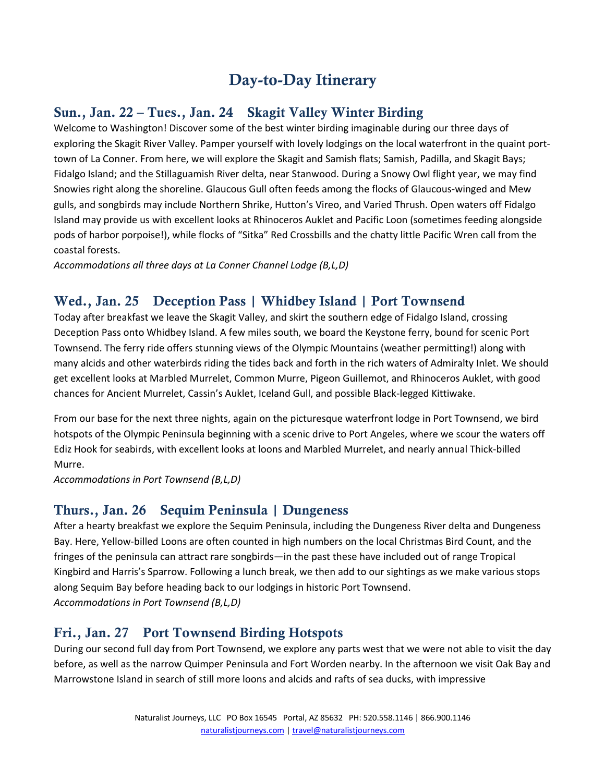## Day-to-Day Itinerary

#### Sun., Jan. 22 – Tues., Jan. 24 Skagit Valley Winter Birding

Welcome to Washington! Discover some of the best winter birding imaginable during our three days of exploring the Skagit River Valley. Pamper yourself with lovely lodgings on the local waterfront in the quaint porttown of La Conner. From here, we will explore the Skagit and Samish flats; Samish, Padilla, and Skagit Bays; Fidalgo Island; and the Stillaguamish River delta, near Stanwood. During a Snowy Owl flight year, we may find Snowies right along the shoreline. Glaucous Gull often feeds among the flocks of Glaucous-winged and Mew gulls, and songbirds may include Northern Shrike, Hutton's Vireo, and Varied Thrush. Open waters off Fidalgo Island may provide us with excellent looks at Rhinoceros Auklet and Pacific Loon (sometimes feeding alongside pods of harbor porpoise!), while flocks of "Sitka" Red Crossbills and the chatty little Pacific Wren call from the coastal forests.

*Accommodations all three days at La Conner Channel Lodge (B,L,D)*

#### Wed., Jan. 25 Deception Pass | Whidbey Island | Port Townsend

Today after breakfast we leave the Skagit Valley, and skirt the southern edge of Fidalgo Island, crossing Deception Pass onto Whidbey Island. A few miles south, we board the Keystone ferry, bound for scenic Port Townsend. The ferry ride offers stunning views of the Olympic Mountains (weather permitting!) along with many alcids and other waterbirds riding the tides back and forth in the rich waters of Admiralty Inlet. We should get excellent looks at Marbled Murrelet, Common Murre, Pigeon Guillemot, and Rhinoceros Auklet, with good chances for Ancient Murrelet, Cassin's Auklet, Iceland Gull, and possible Black-legged Kittiwake.

From our base for the next three nights, again on the picturesque waterfront lodge in Port Townsend, we bird hotspots of the Olympic Peninsula beginning with a scenic drive to Port Angeles, where we scour the waters off Ediz Hook for seabirds, with excellent looks at loons and Marbled Murrelet, and nearly annual Thick-billed Murre.

*Accommodations in Port Townsend (B,L,D)*

#### Thurs., Jan. 26 Sequim Peninsula | Dungeness

After a hearty breakfast we explore the Sequim Peninsula, including the Dungeness River delta and Dungeness Bay. Here, Yellow-billed Loons are often counted in high numbers on the local Christmas Bird Count, and the fringes of the peninsula can attract rare songbirds—in the past these have included out of range Tropical Kingbird and Harris's Sparrow. Following a lunch break, we then add to our sightings as we make various stops along Sequim Bay before heading back to our lodgings in historic Port Townsend. *Accommodations in Port Townsend (B,L,D)* 

#### Fri., Jan. 27 Port Townsend Birding Hotspots

During our second full day from Port Townsend, we explore any parts west that we were not able to visit the day before, as well as the narrow Quimper Peninsula and Fort Worden nearby. In the afternoon we visit Oak Bay and Marrowstone Island in search of still more loons and alcids and rafts of sea ducks, with impressive